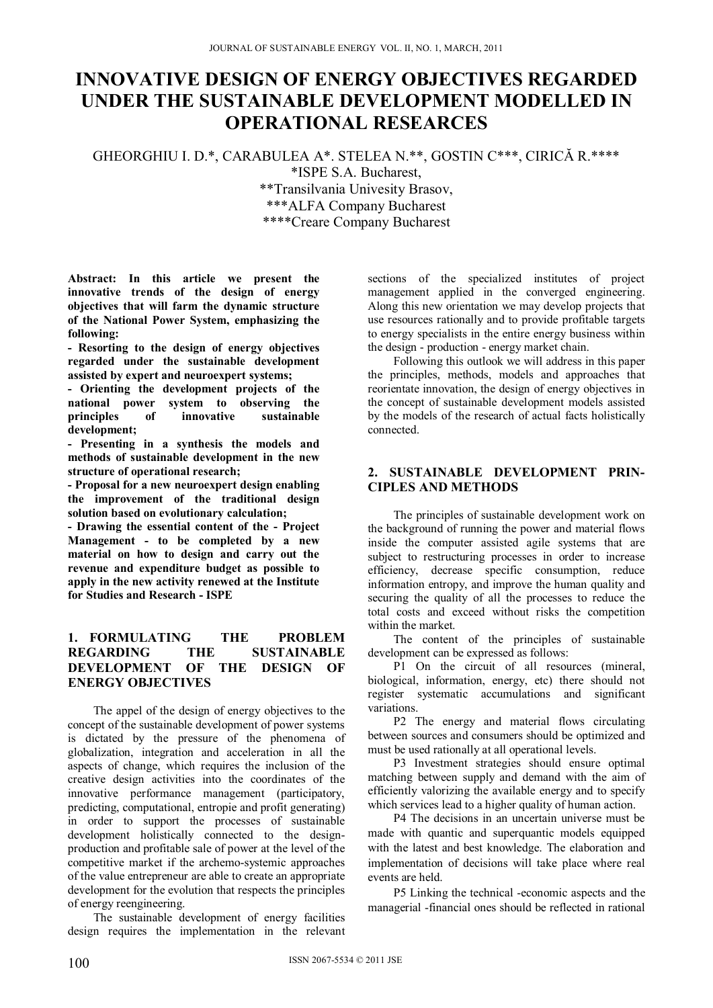# **INNOVATIVE DESIGN OF ENERGY OBJECTIVES REGARDED UNDER THE SUSTAINABLE DEVELOPMENT MODELLED IN OPERATIONAL RESEARCES**

GHEORGHIU I. D.\*, CARABULEA A\*. STELEA N.\*\*, GOSTIN C\*\*\*, CIRICĂ R.\*\*\*\*

\*ISPE S.A. Bucharest,

\*\*Transilvania Univesity Brasov, \*\*\*ALFA Company Bucharest

\*\*\*\*Creare Company Bucharest

**Abstract: In this article we present the innovative trends of the design of energy objectives that will farm the dynamic structure of the National Power System, emphasizing the following:** 

**- Resorting to the design of energy objectives regarded under the sustainable development assisted by expert and neuroexpert systems;** 

**- Orienting the development projects of the national power system to observing the principles of innovative sustainable development;** 

**- Presenting in a synthesis the models and methods of sustainable development in the new structure of operational research;** 

**- Proposal for a new neuroexpert design enabling the improvement of the traditional design solution based on evolutionary calculation;** 

**- Drawing the essential content of the - Project Management - to be completed by a new material on how to design and carry out the revenue and expenditure budget as possible to apply in the new activity renewed at the Institute for Studies and Research - ISPE** 

# **1. FORMULATING THE PROBLEM REGARDING THE SUSTAINABLE DEVELOPMENT OF THE DESIGN OF ENERGY OBJECTIVES**

The appel of the design of energy objectives to the concept of the sustainable development of power systems is dictated by the pressure of the phenomena of globalization, integration and acceleration in all the aspects of change, which requires the inclusion of the creative design activities into the coordinates of the innovative performance management (participatory, predicting, computational, entropie and profit generating) in order to support the processes of sustainable development holistically connected to the designproduction and profitable sale of power at the level of the competitive market if the archemo-systemic approaches of the value entrepreneur are able to create an appropriate development for the evolution that respects the principles of energy reengineering.

The sustainable development of energy facilities design requires the implementation in the relevant sections of the specialized institutes of project management applied in the converged engineering. Along this new orientation we may develop projects that use resources rationally and to provide profitable targets to energy specialists in the entire energy business within the design - production - energy market chain.

Following this outlook we will address in this paper the principles, methods, models and approaches that reorientate innovation, the design of energy objectives in the concept of sustainable development models assisted by the models of the research of actual facts holistically connected.

# **2. SUSTAINABLE DEVELOPMENT PRIN-CIPLES AND METHODS**

The principles of sustainable development work on the background of running the power and material flows inside the computer assisted agile systems that are subject to restructuring processes in order to increase efficiency, decrease specific consumption, reduce information entropy, and improve the human quality and securing the quality of all the processes to reduce the total costs and exceed without risks the competition within the market.

The content of the principles of sustainable development can be expressed as follows:

P1 On the circuit of all resources (mineral, biological, information, energy, etc) there should not register systematic accumulations and significant variations.

P2 The energy and material flows circulating between sources and consumers should be optimized and must be used rationally at all operational levels.

P3 Investment strategies should ensure optimal matching between supply and demand with the aim of efficiently valorizing the available energy and to specify which services lead to a higher quality of human action.

P4 The decisions in an uncertain universe must be made with quantic and superquantic models equipped with the latest and best knowledge. The elaboration and implementation of decisions will take place where real events are held.

P5 Linking the technical -economic aspects and the managerial -financial ones should be reflected in rational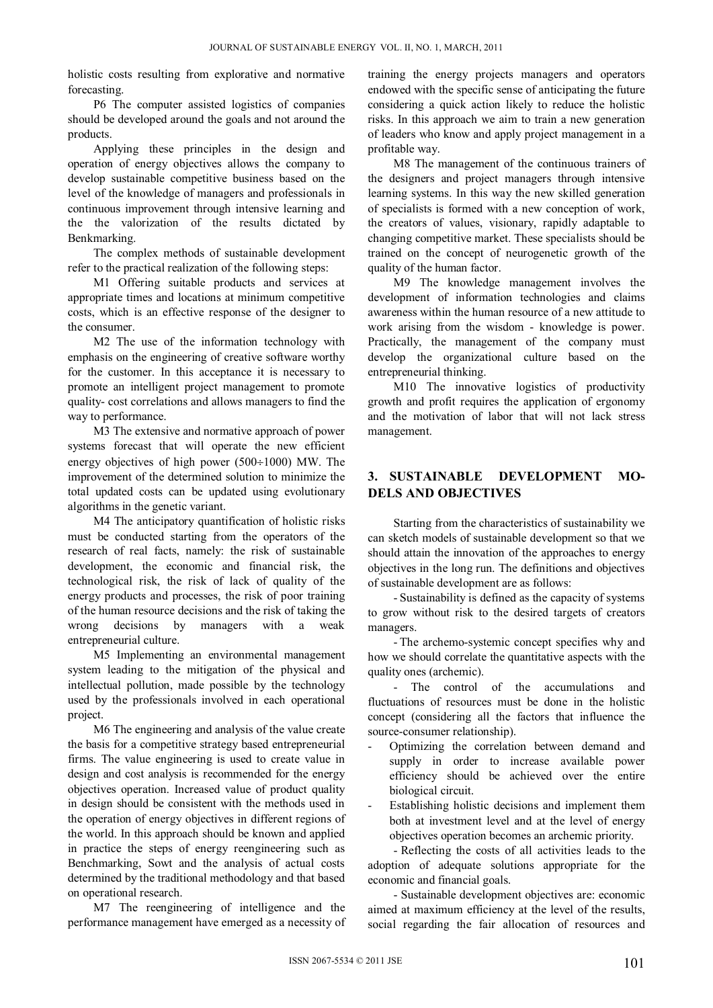holistic costs resulting from explorative and normative forecasting.

P6 The computer assisted logistics of companies should be developed around the goals and not around the products.

Applying these principles in the design and operation of energy objectives allows the company to develop sustainable competitive business based on the level of the knowledge of managers and professionals in continuous improvement through intensive learning and the the valorization of the results dictated by Benkmarking.

The complex methods of sustainable development refer to the practical realization of the following steps:

M1 Offering suitable products and services at appropriate times and locations at minimum competitive costs, which is an effective response of the designer to the consumer.

M2 The use of the information technology with emphasis on the engineering of creative software worthy for the customer. In this acceptance it is necessary to promote an intelligent project management to promote quality- cost correlations and allows managers to find the way to performance.

M3 The extensive and normative approach of power systems forecast that will operate the new efficient energy objectives of high power  $(500\div1000)$  MW. The improvement of the determined solution to minimize the total updated costs can be updated using evolutionary algorithms in the genetic variant.

M4 The anticipatory quantification of holistic risks must be conducted starting from the operators of the research of real facts, namely: the risk of sustainable development, the economic and financial risk, the technological risk, the risk of lack of quality of the energy products and processes, the risk of poor training of the human resource decisions and the risk of taking the wrong decisions by managers with a weak entrepreneurial culture.

M5 Implementing an environmental management system leading to the mitigation of the physical and intellectual pollution, made possible by the technology used by the professionals involved in each operational project.

M6 The engineering and analysis of the value create the basis for a competitive strategy based entrepreneurial firms. The value engineering is used to create value in design and cost analysis is recommended for the energy objectives operation. Increased value of product quality in design should be consistent with the methods used in the operation of energy objectives in different regions of the world. In this approach should be known and applied in practice the steps of energy reengineering such as Benchmarking, Sowt and the analysis of actual costs determined by the traditional methodology and that based on operational research.

M7 The reengineering of intelligence and the performance management have emerged as a necessity of training the energy projects managers and operators endowed with the specific sense of anticipating the future considering a quick action likely to reduce the holistic risks. In this approach we aim to train a new generation of leaders who know and apply project management in a profitable way.

M8 The management of the continuous trainers of the designers and project managers through intensive learning systems. In this way the new skilled generation of specialists is formed with a new conception of work, the creators of values, visionary, rapidly adaptable to changing competitive market. These specialists should be trained on the concept of neurogenetic growth of the quality of the human factor.

M9 The knowledge management involves the development of information technologies and claims awareness within the human resource of a new attitude to work arising from the wisdom - knowledge is power. Practically, the management of the company must develop the organizational culture based on the entrepreneurial thinking.

M10 The innovative logistics of productivity growth and profit requires the application of ergonomy and the motivation of labor that will not lack stress management.

# **3. SUSTAINABLE DEVELOPMENT MO-DELS AND OBJECTIVES**

Starting from the characteristics of sustainability we can sketch models of sustainable development so that we should attain the innovation of the approaches to energy objectives in the long run. The definitions and objectives of sustainable development are as follows:

- Sustainability is defined as the capacity of systems to grow without risk to the desired targets of creators managers.

- The archemo-systemic concept specifies why and how we should correlate the quantitative aspects with the quality ones (archemic).

- The control of the accumulations and fluctuations of resources must be done in the holistic concept (considering all the factors that influence the source-consumer relationship).

- Optimizing the correlation between demand and supply in order to increase available power efficiency should be achieved over the entire biological circuit.
- Establishing holistic decisions and implement them both at investment level and at the level of energy objectives operation becomes an archemic priority.

- Reflecting the costs of all activities leads to the adoption of adequate solutions appropriate for the economic and financial goals.

- Sustainable development objectives are: economic aimed at maximum efficiency at the level of the results, social regarding the fair allocation of resources and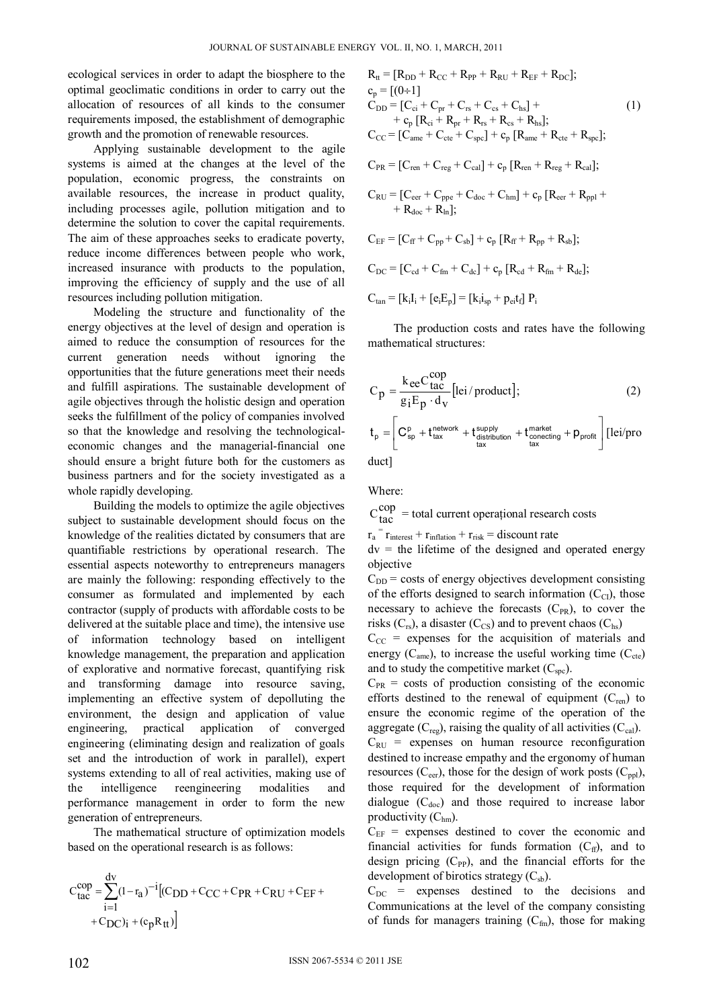ecological services in order to adapt the biosphere to the optimal geoclimatic conditions in order to carry out the allocation of resources of all kinds to the consumer requirements imposed, the establishment of demographic growth and the promotion of renewable resources.

Applying sustainable development to the agile systems is aimed at the changes at the level of the population, economic progress, the constraints on available resources, the increase in product quality, including processes agile, pollution mitigation and to determine the solution to cover the capital requirements. The aim of these approaches seeks to eradicate poverty, reduce income differences between people who work, increased insurance with products to the population, improving the efficiency of supply and the use of all resources including pollution mitigation.

Modeling the structure and functionality of the energy objectives at the level of design and operation is aimed to reduce the consumption of resources for the current generation needs without ignoring the opportunities that the future generations meet their needs and fulfill aspirations. The sustainable development of agile objectives through the holistic design and operation seeks the fulfillment of the policy of companies involved so that the knowledge and resolving the technologicaleconomic changes and the managerial-financial one should ensure a bright future both for the customers as business partners and for the society investigated as a whole rapidly developing.

Building the models to optimize the agile objectives subject to sustainable development should focus on the knowledge of the realities dictated by consumers that are quantifiable restrictions by operational research. The essential aspects noteworthy to entrepreneurs managers are mainly the following: responding effectively to the consumer as formulated and implemented by each contractor (supply of products with affordable costs to be delivered at the suitable place and time), the intensive use of information technology based on intelligent knowledge management, the preparation and application of explorative and normative forecast, quantifying risk and transforming damage into resource saving, implementing an effective system of depolluting the environment, the design and application of value engineering, practical application of converged engineering (eliminating design and realization of goals set and the introduction of work in parallel), expert systems extending to all of real activities, making use of the intelligence reengineering modalities and performance management in order to form the new generation of entrepreneurs.

The mathematical structure of optimization models based on the operational research is as follows:

$$
C_{tac}^{cop} = \sum_{i=1}^{dv} (1 - r_a)^{-i} [(C_{DD} + C_{CC} + C_{PR} + C_{RU} + C_{EF} + C_{DC})_i + (c_p R_{tt})]
$$

$$
R_{tt} = [R_{DD} + R_{CC} + R_{PP} + R_{RU} + R_{EF} + R_{DC}];
$$
  
\n
$$
c_p = [(0 \div 1]
$$
  
\n
$$
C_{DD} = [C_{ci} + C_{pr} + C_{rs} + C_{cs} + C_{hs}] +
$$
  
\n
$$
+ c_p [R_{ci} + R_{pr} + R_{rs} + R_{cs} + R_{hs}];
$$
  
\n
$$
C_{CC} = [C_{ame} + C_{cte} + C_{spc}] + c_p [R_{ame} + R_{cte} + R_{spc}];
$$
  
\n(1)

 $C_{PR} = [C_{ren} + C_{reg} + C_{cal}] + c_p [R_{ren} + R_{reg} + R_{cal}]$ ;

$$
\begin{aligned}[t] C_{RU} &= [C_{eer}+C_{ppe}+C_{doc}+C_{hm}] + c_p\left[R_{eer}+R_{ppl}+ \right. \\ &\left. + R_{doc}+R_{ln}\right]; \end{aligned}
$$

$$
C_{EF} = [C_{ff} + C_{pp} + C_{sb}] + c_p [R_{ff} + R_{pp} + R_{sb}];
$$
  
\n
$$
C_{DC} = [C_{cd} + C_{fm} + C_{dc}] + c_p [R_{cd} + R_{fm} + R_{de}];
$$
  
\n
$$
C_{tan} = [k_i I_i + [e_i E_p] = [k_i i_{sp} + p_{ei} t_f] P_i
$$

 The production costs and rates have the following mathematical structures:

$$
C_{p} = \frac{k_{ee}C_{tac}^{cop}}{g_{i}E_{p} \cdot d_{v}} [lei/product];
$$
\n
$$
t_{p} = \left[C_{sp}^{p} + t_{tax}^{network} + t_{distribution}^{supply} + t_{conecting}^{market} + p_{profit}\right][lei/pro
$$
\nduct] (2)

Where:

 $C_{\text{tac}}^{\text{cop}}$  = total current operational research costs

 $r_a$ <sup>=</sup>  $r_{\text{interest}} + r_{\text{inflation}} + r_{\text{risk}} =$  discount rate

 $dv =$  the lifetime of the designed and operated energy objective

 $C_{DD}$  = costs of energy objectives development consisting of the efforts designed to search information  $(C_{\text{CI}})$ , those necessary to achieve the forecasts  $(C_{PR})$ , to cover the risks  $(C_{rs})$ , a disaster  $(C_{CS})$  and to prevent chaos  $(C_{hs})$ 

 $C_{CC}$  = expenses for the acquisition of materials and energy  $(C<sub>ame</sub>)$ , to increase the useful working time  $(C<sub>cte</sub>)$ and to study the competitive market  $(C_{\text{spc}})$ .

 $C_{PR}$  = costs of production consisting of the economic efforts destined to the renewal of equipment  $(C_{ren})$  to ensure the economic regime of the operation of the aggregate  $(C_{\text{reg}})$ , raising the quality of all activities  $(C_{\text{cal}})$ .

 $C_{\text{RU}}$  = expenses on human resource reconfiguration destined to increase empathy and the ergonomy of human resources ( $C_{\text{eer}}$ ), those for the design of work posts ( $C_{\text{ppl}}$ ), those required for the development of information dialogue  $(C_{doc})$  and those required to increase labor productivity  $(C<sub>hm</sub>)$ .

 $C_{EF}$  = expenses destined to cover the economic and financial activities for funds formation  $(C_f)$ , and to design pricing  $(C_{PP})$ , and the financial efforts for the development of birotics strategy  $(C_{sb})$ .

 $C_{DC}$  = expenses destined to the decisions and Communications at the level of the company consisting of funds for managers training  $(C_{fin})$ , those for making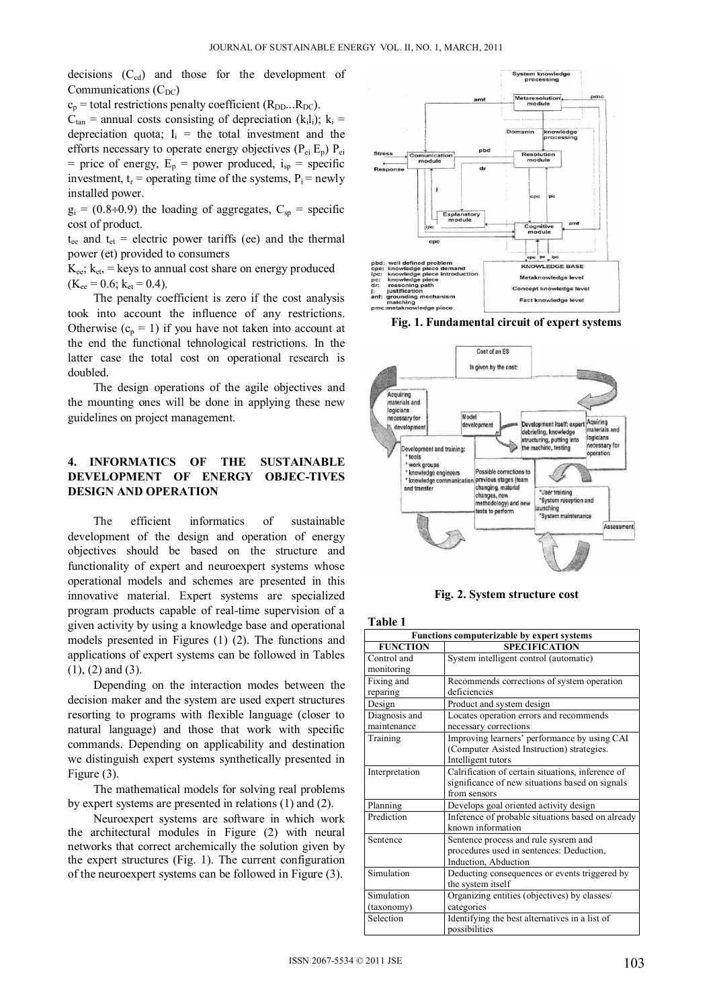decisions  $(C_{cd})$  and those for the development of Communications  $(C<sub>DC</sub>)$ 

 $c_p$  = total restrictions penalty coefficient (R<sub>DD</sub>...R<sub>DC</sub>).

 $C_{tan}$  = annual costs consisting of depreciation (k<sub>i</sub>l<sub>i</sub>); k<sub>i</sub> = depreciation quota;  $I_i$  = the total investment and the efforts necessary to operate energy objectives  $(P_{ei} E_p) P_{ei}$ = price of energy,  $E_p$  = power produced,  $i_{sp}$  = specific investment,  $t_r$  = operating time of the systems,  $P_i$  = newly installed power.

 $g_i = (0.8 \div 0.9)$  the loading of aggregates,  $C_{sp}$  = specific cost of product.

 $t_{ee}$  and  $t_{et}$  = electric power tariffs (ee) and the thermal power (et) provided to consumers

 $K_{ee}$ ;  $k_{et}$  = keys to annual cost share on energy produced  $(K_{ee} = 0.6; k_{et} = 0.4).$ 

The penalty coefficient is zero if the cost analysis took into account the influence of any restrictions. Otherwise  $(c_p = 1)$  if you have not taken into account at the end the functional tehnological restrictions. In the latter case the total cost on operational research is doubled.

The design operations of the agile objectives and the mounting ones will be done in applying these new guidelines on project management.

### **4. INFORMATICS OF THE SUSTAINABLE DEVELOPMENT OF ENERGY OBJEC-TIVES DESIGN AND OPERATION**

The efficient informatics of sustainable development of the design and operation of energy objectives should be based on the structure and functionality of expert and neuroexpert systems whose operational models and schemes are presented in this innovative material. Expert systems are specialized program products capable of real-time supervision of a given activity by using a knowledge base and operational models presented in Figures (1) (2). The functions and applications of expert systems can be followed in Tables  $(1)$ ,  $(2)$  and  $(3)$ .

Depending on the interaction modes between the decision maker and the system are used expert structures resorting to programs with flexible language (closer to natural language) and those that work with specific commands. Depending on applicability and destination we distinguish expert systems synthetically presented in Figure (3).

 The mathematical models for solving real problems by expert systems are presented in relations (1) and (2).

Neuroexpert systems are software in which work the architectural modules in Figure (2) with neural networks that correct archemically the solution given by the expert structures (Fig. 1). The current configuration of the neuroexpert systems can be followed in Figure (3).



**Fig. 1. Fundamental circuit of expert systems** 



**Fig. 2. System structure cost**

| <b>Functions computerizable by expert systems</b> |                                                   |  |
|---------------------------------------------------|---------------------------------------------------|--|
| <b>FUNCTION</b>                                   | <b>SPECIFICATION</b>                              |  |
| Control and                                       | System intelligent control (automatic)            |  |
| monitoring                                        |                                                   |  |
| Fixing and                                        | Recommends corrections of system operation        |  |
| reparing                                          | deficiencies                                      |  |
| Design                                            | Product and system design                         |  |
| Diagnosis and                                     | Locates operation errors and recommends           |  |
| maintenance                                       | necessary corrections                             |  |
| Training                                          | Improving learners' performance by using CAI      |  |
|                                                   | (Computer Asisted Instruction) strategies.        |  |
|                                                   | Intelligent tutors                                |  |
| Interpretation                                    | Calrification of certain situations, inference of |  |
|                                                   | significance of new situations based on signals   |  |
|                                                   | from sensors                                      |  |
| Planning                                          | Develops goal oriented activity design            |  |
| Prediction                                        | Inference of probable situations based on already |  |
|                                                   | known information                                 |  |
| Sentence                                          | Sentence process and rule sysrem and              |  |
|                                                   | procedures used in sentences: Deduction,          |  |
|                                                   | Induction, Abduction                              |  |
| Simulation                                        | Deducting consequences or events triggered by     |  |
|                                                   | the system itself                                 |  |
| Simulation                                        | Organizing entities (objectives) by classes/      |  |
| (taxonomy)                                        | categories                                        |  |
| Selection                                         | Identifying the best alternatives in a list of    |  |
|                                                   | possibilities                                     |  |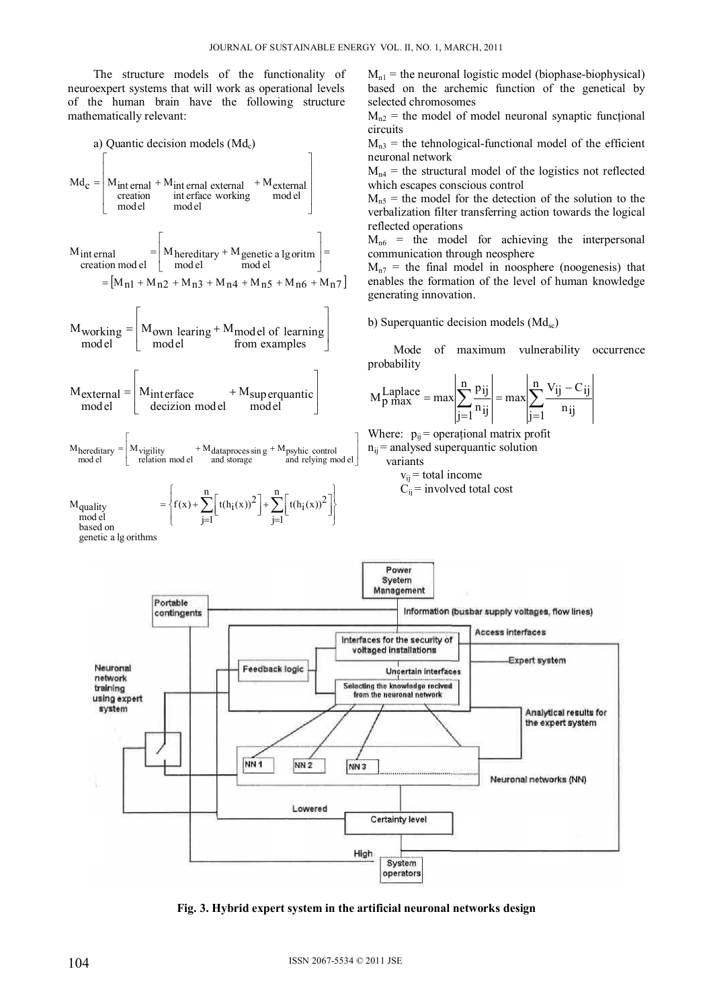The structure models of the functionality of neuroexpert systems that will work as operational levels of the human brain have the following structure mathematically relevant:



 $M_{n_1}$  = the neuronal logistic model (biophase-biophysical) based on the archemic function of the genetical by selected chromosomes

 $M_{n2}$  = the model of model neuronal synaptic functional circuits

 $M_{n3}$  = the tehnological-functional model of the efficient neuronal network

 $M_{n4}$  = the structural model of the logistics not reflected which escapes conscious control

 $M<sub>n5</sub>$  = the model for the detection of the solution to the verbalization filter transferring action towards the logical reflected operations

 $M_{n6}$  = the model for achieving the interpersonal communication through neosphere

 $M_{n7}$  = the final model in noosphere (noogenesis) that enables the formation of the level of human knowledge generating innovation.

b) Superquantic decision models  $(Md_{sc})$ 

Mode of maximum vulnerability occurrence probability

$$
M_{p \max}^{Laplace} = \max \left| \sum_{j=1}^{n} \frac{p_{ij}}{n_{ij}} \right| = \max \left| \sum_{j=1}^{n} \frac{V_{ij} - C_{ij}}{n_{ij}} \right|
$$

Where:  $p_{ij}$  = operational matrix profit  $n_{ii}$  = analysed superquantic solution variants

 $v_{ij}$  = total income  $C_{ii}$  = involved total cost



**Fig. 3. Hybrid expert system in the artificial neuronal networks design**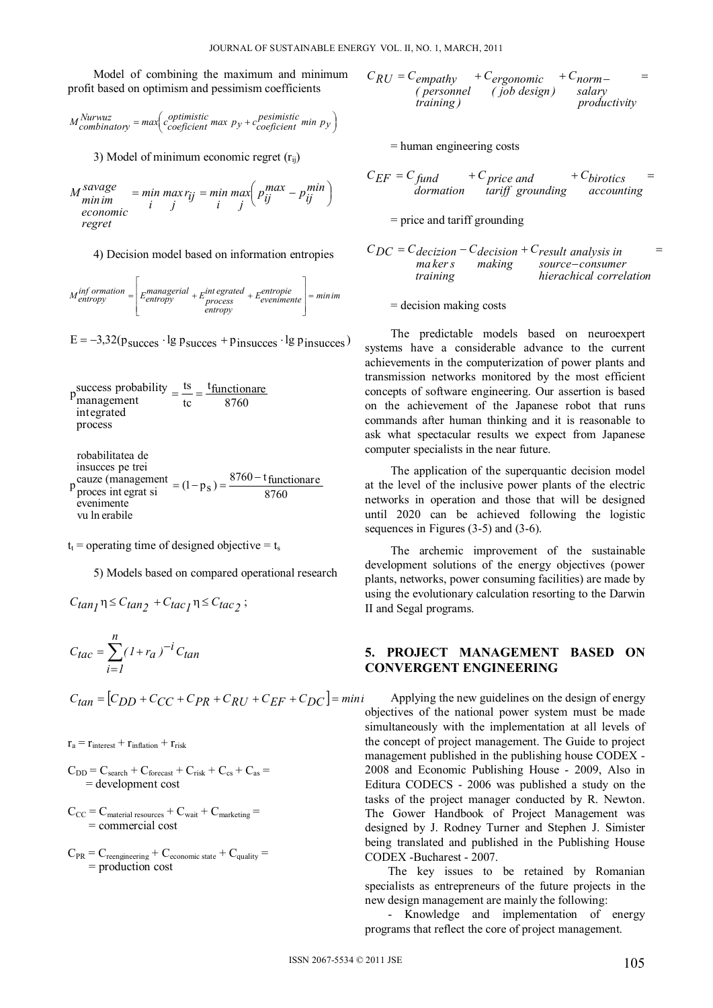Model of combining the maximum and minimum profit based on optimism and pessimism coefficients

$$
M_{\text{combinatory}}^{Nurwuz} = \max\left(c_{\text{coefficient}}^{optimistic} \max p_y + c_{\text{coefficient}}^{pesimistic} \min p_y\right)
$$

3) Model of minimum economic regret  $(r_{ii})$ 

$$
M_{minim}^{savage} = \min_{i} \max_{j} \min_{i} \max_{j} \left( p_{ij}^{max} - p_{ij}^{min} \right)
$$
  
economic  
regret

4) Decision model based on information entropies

$$
M_{entropy}^{inf} \text{ or } = \left[ E_{entropy}^{mana} + E_{process}^{integrated} + E_{evenimente}^{entropic} \right] = \text{minim}
$$

 $E = -3.32(p_{\text{success}} \cdot lg p_{\text{success}} + p_{\text{insuces}} \cdot lg p_{\text{insuces}})$ 

$$
pmanagementmanagementintegratedprocessrobabilities de
$$

 $p_{\text{process}}^{\text{cauze}}$  (management = (1 - p<sub>s</sub>) =  $\frac{8760 - t_{\text{functionare}}}{8760}$ insucces pe trei vu ln erabile evenimente

 $t_t$  = operating time of designed objective =  $t_s$ 

5) Models based on compared operational research

$$
C_{tan_1} \eta \leq C_{tan_2} + C_{tac_1} \eta \leq C_{tac_2};
$$

$$
C_{tac} = \sum_{i=1}^{n} (1 + r_a)^{-i} C_{tan}
$$

$$
C_{tan} = [C_{DD} + C_{CC} + C_{PR} + C_{RU} + C_{EF} + C_{DC}] = min
$$

 $r_a = r_{\text{interest}} + r_{\text{inflation}} + r_{\text{risk}}$ 

- $C_{DD} = C_{search} + C_{forecast} + C_{risk} + C_{cs} + C_{as} =$ = development cost
- $C_{CC} = C_{\text{material resources}} + C_{\text{wait}} + C_{\text{marketing}} =$ = commercial cost
- $C_{PR} = C_{reengineering} + C_{economic state} + C_{quality} =$ = production cost

$$
C_{RU} = C_{empathy} + C_{ergonomic} + C_{norm-}
$$
  
(*personal (job design)*)  
training)

= human engineering costs

$$
C_{EF} = C_{fund} + C_{price and} + C_{birotics} =
$$
  
domation *tariff grounding accounting*

= price and tariff grounding

 $\equiv$ source-consumer  $C_{DC} = C_{decision} - C_{decision} + C_{result}$  analysis in *hierachical correlation making training* maker<sub>s</sub>

= decision making costs

The predictable models based on neuroexpert systems have a considerable advance to the current achievements in the computerization of power plants and transmission networks monitored by the most efficient concepts of software engineering. Our assertion is based on the achievement of the Japanese robot that runs commands after human thinking and it is reasonable to ask what spectacular results we expect from Japanese computer specialists in the near future.

The application of the superquantic decision model at the level of the inclusive power plants of the electric networks in operation and those that will be designed until 2020 can be achieved following the logistic sequences in Figures (3-5) and (3-6).

 The archemic improvement of the sustainable development solutions of the energy objectives (power plants, networks, power consuming facilities) are made by using the evolutionary calculation resorting to the Darwin II and Segal programs.

### **5. PROJECT MANAGEMENT BASED ON CONVERGENT ENGINEERING**

Applying the new guidelines on the design of energy objectives of the national power system must be made simultaneously with the implementation at all levels of the concept of project management. The Guide to project management published in the publishing house CODEX - 2008 and Economic Publishing House - 2009, Also in Editura CODECS - 2006 was published a study on the tasks of the project manager conducted by R. Newton. The Gower Handbook of Project Management was designed by J. Rodney Turner and Stephen J. Simister being translated and published in the Publishing House CODEX -Bucharest - 2007.

The key issues to be retained by Romanian specialists as entrepreneurs of the future projects in the new design management are mainly the following:

- Knowledge and implementation of energy programs that reflect the core of project management.